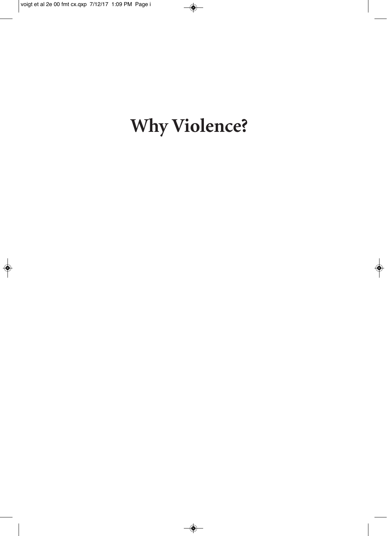# **Why Violence?**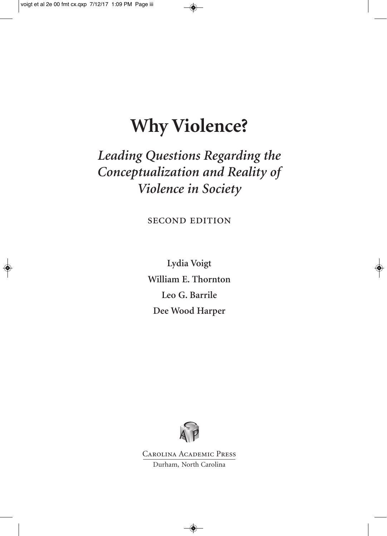# **Why Violence?**

### *Leading Questions Regarding the Conceptualization and Reality of Violence in Society*

second edition

**Lydia Voigt William E. Thornton Leo G. Barrile Dee Wood Harper**



Carolina Academic Press Durham, North Carolina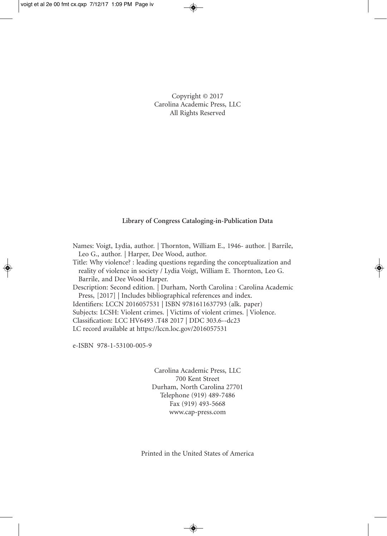Copyright © 2017 Carolina Academic Press, LLC All Rights Reserved

#### **Library of Congress Cataloging-in-Publication Data**

Names: Voigt, Lydia, author. | Thornton, William E., 1946- author. | Barrile, Leo G., author. | Harper, Dee Wood, author.

Title: Why violence? : leading questions regarding the conceptualization and reality of violence in society / Lydia Voigt, William E. Thornton, Leo G. Barrile, and Dee Wood Harper.

Description: Second edition. | Durham, North Carolina : Carolina Academic Press, [2017] | Includes bibliographical references and index.

Identifiers: LCCN 2016057531 | ISBN 9781611637793 (alk. paper)

Subjects: LCSH: Violent crimes. | Victims of violent crimes. | Violence.

Classification: LCC HV6493 .T48 2017 | DDC 303.6--dc23

LC record available at https://lccn.loc.gov/2016057531

e-ISBN 978-1-53100-005-9

Carolina Academic Press, LLC 700 Kent Street Durham, North Carolina 27701 Telephone (919) 489-7486 Fax (919) 493-5668 www.cap-press.com

Printed in the United States of America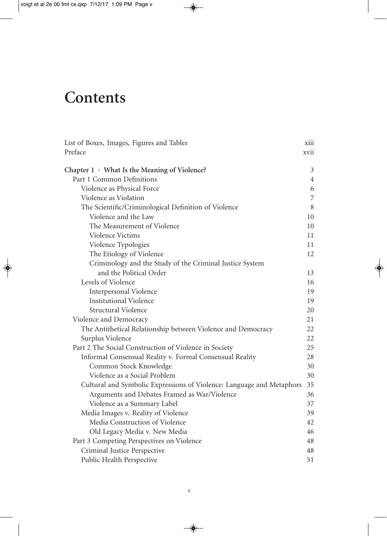## **Contents**

| List of Boxes, Images, Figures and Tables<br>Preface                  | xiii<br>xvii   |
|-----------------------------------------------------------------------|----------------|
| Chapter $1 \cdot$ What Is the Meaning of Violence?                    | 3              |
| Part 1 Common Definitions                                             | $\overline{4}$ |
| Violence as Physical Force                                            | 6              |
| Violence as Violation                                                 | $\overline{7}$ |
| The Scientific/Criminological Definition of Violence                  | 8              |
| Violence and the Law                                                  | 10             |
| The Measurement of Violence                                           | 10             |
| Violence Victims                                                      | 11             |
| Violence Typologies                                                   | 11             |
| The Etiology of Violence                                              | 12             |
| Criminology and the Study of the Criminal Justice System              |                |
| and the Political Order                                               | 13             |
| Levels of Violence                                                    | 16             |
| Interpersonal Violence                                                | 19             |
| <b>Institutional Violence</b>                                         | 19             |
| Structural Violence                                                   | 20             |
| Violence and Democracy                                                | 21             |
| The Antithetical Relationship between Violence and Democracy          | 22             |
| Surplus Violence                                                      | 22             |
| Part 2 The Social Construction of Violence in Society                 | 25             |
| Informal Consensual Reality v. Formal Consensual Reality              | 28             |
| Common Stock Knowledge                                                | 30             |
| Violence as a Social Problem                                          | 30             |
| Cultural and Symbolic Expressions of Violence: Language and Metaphors | 35             |
| Arguments and Debates Framed as War/Violence                          | 36             |
| Violence as a Summary Label                                           | 37             |
| Media Images v. Reality of Violence                                   | 39             |
| Media Construction of Violence                                        | 42             |
| Old Legacy Media v. New Media                                         | 46             |
| Part 3 Competing Perspectives on Violence                             | 48             |
| Criminal Justice Perspective                                          | 48             |
| Public Health Perspective                                             | 51             |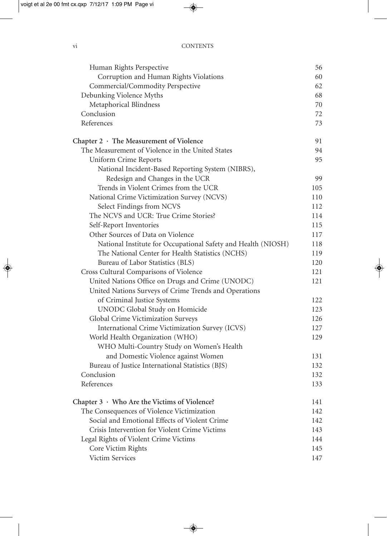| Human Rights Perspective                                      | 56  |
|---------------------------------------------------------------|-----|
| Corruption and Human Rights Violations                        | 60  |
| Commercial/Commodity Perspective                              | 62  |
| Debunking Violence Myths                                      | 68  |
| Metaphorical Blindness                                        | 70  |
| Conclusion                                                    | 72  |
| References                                                    | 73  |
| Chapter $2 \cdot$ The Measurement of Violence                 | 91  |
| The Measurement of Violence in the United States              | 94  |
| Uniform Crime Reports                                         | 95  |
| National Incident-Based Reporting System (NIBRS),             |     |
| Redesign and Changes in the UCR                               | 99  |
| Trends in Violent Crimes from the UCR                         | 105 |
| National Crime Victimization Survey (NCVS)                    | 110 |
| Select Findings from NCVS                                     | 112 |
| The NCVS and UCR: True Crime Stories?                         | 114 |
| Self-Report Inventories                                       | 115 |
| Other Sources of Data on Violence                             | 117 |
| National Institute for Occupational Safety and Health (NIOSH) | 118 |
| The National Center for Health Statistics (NCHS)              | 119 |
| Bureau of Labor Statistics (BLS)                              | 120 |
| Cross Cultural Comparisons of Violence                        | 121 |
| United Nations Office on Drugs and Crime (UNODC)              | 121 |
| United Nations Surveys of Crime Trends and Operations         |     |
| of Criminal Justice Systems                                   | 122 |
| UNODC Global Study on Homicide                                | 123 |
| Global Crime Victimization Surveys                            | 126 |
| International Crime Victimization Survey (ICVS)               | 127 |
| World Health Organization (WHO)                               | 129 |
| WHO Multi-Country Study on Women's Health                     |     |
| and Domestic Violence against Women                           | 131 |
| Bureau of Justice International Statistics (BJS)              | 132 |
| Conclusion                                                    | 132 |
| References                                                    | 133 |
| Chapter 3 · Who Are the Victims of Violence?                  | 141 |
| The Consequences of Violence Victimization                    | 142 |
| Social and Emotional Effects of Violent Crime                 | 142 |
| Crisis Intervention for Violent Crime Victims                 | 143 |
| Legal Rights of Violent Crime Victims                         | 144 |
| Core Victim Rights                                            | 145 |
| Victim Services                                               | 147 |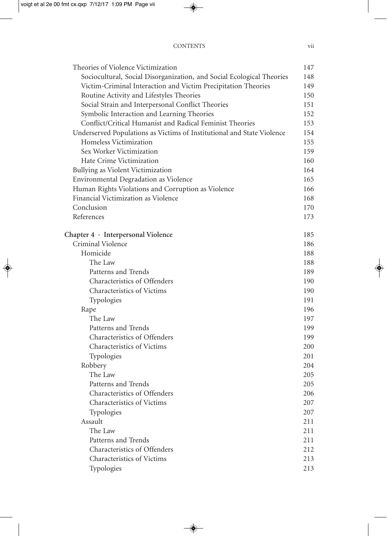| Theories of Violence Victimization                                     | 147 |
|------------------------------------------------------------------------|-----|
| Sociocultural, Social Disorganization, and Social Ecological Theories  | 148 |
| Victim-Criminal Interaction and Victim Precipitation Theories          | 149 |
| Routine Activity and Lifestyles Theories                               | 150 |
| Social Strain and Interpersonal Conflict Theories                      | 151 |
| Symbolic Interaction and Learning Theories                             | 152 |
| Conflict/Critical Humanist and Radical Feminist Theories               | 153 |
| Underserved Populations as Victims of Institutional and State Violence | 154 |
| Homeless Victimization                                                 | 155 |
| Sex Worker Victimization                                               | 159 |
| Hate Crime Victimization                                               | 160 |
| Bullying as Violent Victimization                                      | 164 |
| Environmental Degradation as Violence                                  | 165 |
| Human Rights Violations and Corruption as Violence                     | 166 |
| Financial Victimization as Violence                                    | 168 |
| Conclusion                                                             | 170 |
| References                                                             | 173 |
| Chapter $4 \cdot$ Interpersonal Violence                               | 185 |
| Criminal Violence                                                      | 186 |
| Homicide                                                               | 188 |
| The Law                                                                | 188 |
| Patterns and Trends                                                    | 189 |
| Characteristics of Offenders                                           | 190 |
| Characteristics of Victims                                             | 190 |
| Typologies                                                             | 191 |
| Rape                                                                   | 196 |
| The Law                                                                | 197 |
| Patterns and Trends                                                    | 199 |
| Characteristics of Offenders                                           | 199 |
| Characteristics of Victims                                             | 200 |
| Typologies                                                             | 201 |
| Robbery                                                                | 204 |
| The Law                                                                | 205 |
| Patterns and Trends                                                    | 205 |
| Characteristics of Offenders                                           | 206 |
| Characteristics of Victims                                             | 207 |
| Typologies                                                             | 207 |
| Assault                                                                | 211 |
| The Law                                                                | 211 |
| Patterns and Trends                                                    | 211 |
| Characteristics of Offenders                                           | 212 |
| <b>Characteristics of Victims</b>                                      | 213 |
| Typologies                                                             | 213 |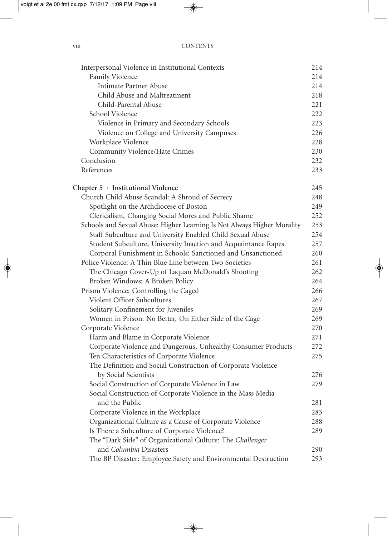| Interpersonal Violence in Institutional Contexts                              | 214 |
|-------------------------------------------------------------------------------|-----|
| Family Violence                                                               | 214 |
| <b>Intimate Partner Abuse</b>                                                 | 214 |
| Child Abuse and Maltreatment                                                  | 218 |
| Child-Parental Abuse                                                          | 221 |
| School Violence                                                               | 222 |
| Violence in Primary and Secondary Schools                                     | 223 |
| Violence on College and University Campuses                                   | 226 |
| Workplace Violence                                                            | 228 |
| Community Violence/Hate Crimes                                                | 230 |
| Conclusion                                                                    | 232 |
| References                                                                    | 233 |
| Chapter 5 · Institutional Violence                                            | 245 |
| Church Child Abuse Scandal: A Shroud of Secrecy                               | 248 |
| Spotlight on the Archdiocese of Boston                                        | 249 |
| Clericalism, Changing Social Mores and Public Shame                           | 252 |
| Schools and Sexual Abuse: Higher Learning Is Not Always Higher Morality       | 253 |
| Staff Subculture and University Enabled Child Sexual Abuse                    | 254 |
| Student Subculture, University Inaction and Acquaintance Rapes                | 257 |
| Corporal Punishment in Schools: Sanctioned and Unsanctioned                   | 260 |
| Police Violence: A Thin Blue Line between Two Societies                       | 261 |
| The Chicago Cover-Up of Laquan McDonald's Shooting                            | 262 |
| Broken Windows: A Broken Policy                                               | 264 |
| Prison Violence: Controlling the Caged                                        | 266 |
| Violent Officer Subcultures                                                   | 267 |
| Solitary Confinement for Juveniles                                            | 269 |
| Women in Prison: No Better, On Either Side of the Cage                        | 269 |
| Corporate Violence                                                            | 270 |
| Harm and Blame in Corporate Violence                                          | 271 |
| Corporate Violence and Dangerous, Unhealthy Consumer Products                 | 272 |
| Ten Characteristics of Corporate Violence                                     | 275 |
| The Definition and Social Construction of Corporate Violence                  |     |
| by Social Scientists                                                          | 276 |
| Social Construction of Corporate Violence in Law                              | 279 |
| Social Construction of Corporate Violence in the Mass Media<br>and the Public | 281 |
| Corporate Violence in the Workplace                                           | 283 |
| Organizational Culture as a Cause of Corporate Violence                       | 288 |
| Is There a Subculture of Corporate Violence?                                  | 289 |
| The "Dark Side" of Organizational Culture: The Challenger                     |     |
| and Columbia Disasters                                                        | 290 |
| The BP Disaster: Employee Safety and Environmental Destruction                | 293 |
|                                                                               |     |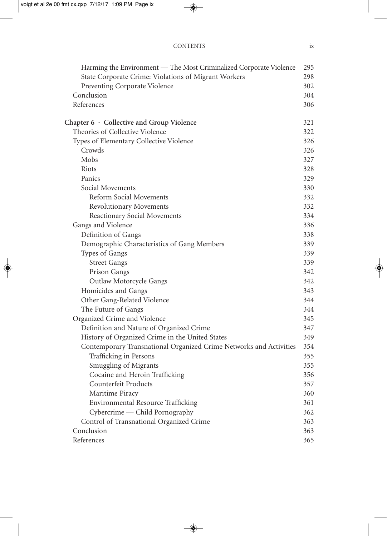| Harming the Environment — The Most Criminalized Corporate Violence<br>State Corporate Crime: Violations of Migrant Workers | 295<br>298 |
|----------------------------------------------------------------------------------------------------------------------------|------------|
| Preventing Corporate Violence                                                                                              | 302        |
| Conclusion                                                                                                                 | 304        |
| References                                                                                                                 | 306        |
| Chapter $6 \cdot$ Collective and Group Violence                                                                            | 321        |
| Theories of Collective Violence                                                                                            | 322        |
| Types of Elementary Collective Violence                                                                                    | 326        |
| Crowds                                                                                                                     | 326        |
| Mobs                                                                                                                       | 327        |
| Riots                                                                                                                      | 328        |
| Panics                                                                                                                     | 329        |
| Social Movements                                                                                                           | 330        |
| Reform Social Movements                                                                                                    | 332        |
| <b>Revolutionary Movements</b>                                                                                             | 332        |
| Reactionary Social Movements                                                                                               | 334        |
| Gangs and Violence                                                                                                         | 336        |
| Definition of Gangs                                                                                                        | 338        |
| Demographic Characteristics of Gang Members                                                                                | 339        |
| Types of Gangs                                                                                                             | 339        |
| <b>Street Gangs</b>                                                                                                        | 339        |
| Prison Gangs                                                                                                               | 342        |
| <b>Outlaw Motorcycle Gangs</b>                                                                                             | 342        |
| Homicides and Gangs                                                                                                        | 343        |
| Other Gang-Related Violence                                                                                                | 344        |
| The Future of Gangs                                                                                                        | 344        |
| Organized Crime and Violence                                                                                               | 345        |
| Definition and Nature of Organized Crime                                                                                   | 347        |
| History of Organized Crime in the United States                                                                            | 349        |
| Contemporary Transnational Organized Crime Networks and Activities                                                         | 354        |
| Trafficking in Persons                                                                                                     | 355        |
| Smuggling of Migrants                                                                                                      | 355        |
| Cocaine and Heroin Trafficking                                                                                             | 356        |
| Counterfeit Products                                                                                                       | 357        |
| Maritime Piracy                                                                                                            | 360        |
| Environmental Resource Trafficking                                                                                         | 361        |
| Cybercrime - Child Pornography                                                                                             | 362        |
| Control of Transnational Organized Crime                                                                                   | 363        |
| Conclusion                                                                                                                 | 363        |
| References                                                                                                                 | 365        |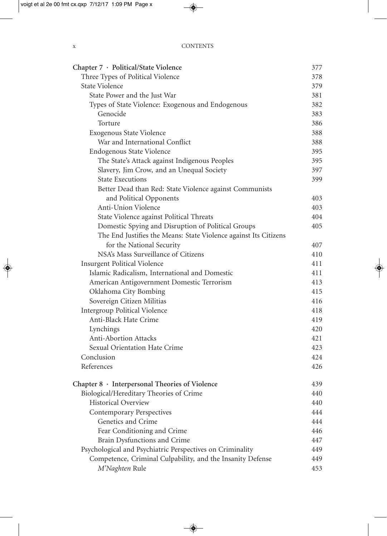| Chapter 7 · Political/State Violence                             | 377 |
|------------------------------------------------------------------|-----|
| Three Types of Political Violence                                | 378 |
| <b>State Violence</b>                                            | 379 |
| State Power and the Just War                                     | 381 |
| Types of State Violence: Exogenous and Endogenous                | 382 |
| Genocide                                                         | 383 |
| Torture                                                          | 386 |
| Exogenous State Violence                                         | 388 |
| War and International Conflict                                   | 388 |
| Endogenous State Violence                                        | 395 |
| The State's Attack against Indigenous Peoples                    | 395 |
| Slavery, Jim Crow, and an Unequal Society                        | 397 |
| <b>State Executions</b>                                          | 399 |
| Better Dead than Red: State Violence against Communists          |     |
| and Political Opponents                                          | 403 |
| Anti-Union Violence                                              | 403 |
| State Violence against Political Threats                         | 404 |
| Domestic Spying and Disruption of Political Groups               | 405 |
| The End Justifies the Means: State Violence against Its Citizens |     |
| for the National Security                                        | 407 |
| NSA's Mass Surveillance of Citizens                              | 410 |
| <b>Insurgent Political Violence</b>                              | 411 |
| Islamic Radicalism, International and Domestic                   | 411 |
| American Antigovernment Domestic Terrorism                       | 413 |
| Oklahoma City Bombing                                            | 415 |
| Sovereign Citizen Militias                                       | 416 |
| <b>Intergroup Political Violence</b>                             | 418 |
| Anti-Black Hate Crime                                            | 419 |
| Lynchings                                                        | 420 |
| <b>Anti-Abortion Attacks</b>                                     | 421 |
| Sexual Orientation Hate Crime                                    | 423 |
| Conclusion                                                       | 424 |
| References                                                       | 426 |
| Chapter 8 · Interpersonal Theories of Violence                   | 439 |
| Biological/Hereditary Theories of Crime                          | 440 |
| <b>Historical Overview</b>                                       | 440 |
| <b>Contemporary Perspectives</b>                                 | 444 |
| Genetics and Crime                                               | 444 |
| Fear Conditioning and Crime                                      | 446 |
| Brain Dysfunctions and Crime                                     | 447 |
| Psychological and Psychiatric Perspectives on Criminality        | 449 |
| Competence, Criminal Culpability, and the Insanity Defense       | 449 |
| M'Naghten Rule                                                   | 453 |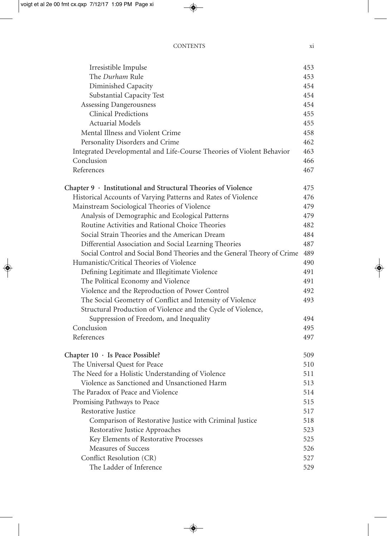| Irresistible Impulse                                                    | 453 |
|-------------------------------------------------------------------------|-----|
| The Durham Rule                                                         | 453 |
| Diminished Capacity                                                     | 454 |
| Substantial Capacity Test                                               | 454 |
| Assessing Dangerousness                                                 | 454 |
| <b>Clinical Predictions</b>                                             | 455 |
| <b>Actuarial Models</b>                                                 | 455 |
| Mental Illness and Violent Crime                                        | 458 |
| Personality Disorders and Crime                                         | 462 |
| Integrated Developmental and Life-Course Theories of Violent Behavior   | 463 |
| Conclusion                                                              | 466 |
| References                                                              | 467 |
| Chapter $9 \cdot$ Institutional and Structural Theories of Violence     | 475 |
| Historical Accounts of Varying Patterns and Rates of Violence           | 476 |
| Mainstream Sociological Theories of Violence                            | 479 |
| Analysis of Demographic and Ecological Patterns                         | 479 |
| Routine Activities and Rational Choice Theories                         | 482 |
| Social Strain Theories and the American Dream                           | 484 |
| Differential Association and Social Learning Theories                   | 487 |
| Social Control and Social Bond Theories and the General Theory of Crime | 489 |
| Humanistic/Critical Theories of Violence                                | 490 |
| Defining Legitimate and Illegitimate Violence                           | 491 |
| The Political Economy and Violence                                      | 491 |
| Violence and the Reproduction of Power Control                          | 492 |
| The Social Geometry of Conflict and Intensity of Violence               | 493 |
| Structural Production of Violence and the Cycle of Violence,            |     |
| Suppression of Freedom, and Inequality                                  | 494 |
| Conclusion                                                              | 495 |
| References                                                              | 497 |
| Chapter $10 \cdot$ Is Peace Possible?                                   | 509 |
| The Universal Quest for Peace                                           | 510 |
| The Need for a Holistic Understanding of Violence                       | 511 |
| Violence as Sanctioned and Unsanctioned Harm                            | 513 |
| The Paradox of Peace and Violence                                       | 514 |
| Promising Pathways to Peace                                             | 515 |
| Restorative Justice                                                     | 517 |
| Comparison of Restorative Justice with Criminal Justice                 | 518 |
| Restorative Justice Approaches                                          | 523 |
| Key Elements of Restorative Processes                                   | 525 |
| Measures of Success                                                     | 526 |
| Conflict Resolution (CR)                                                | 527 |
| The Ladder of Inference                                                 | 529 |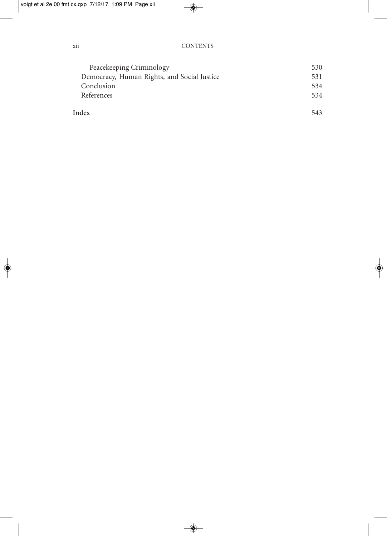| Peacekeeping Criminology                    | 530 |
|---------------------------------------------|-----|
| Democracy, Human Rights, and Social Justice | 531 |
| Conclusion                                  | 534 |
| References                                  | 534 |
|                                             |     |
| Index                                       | 543 |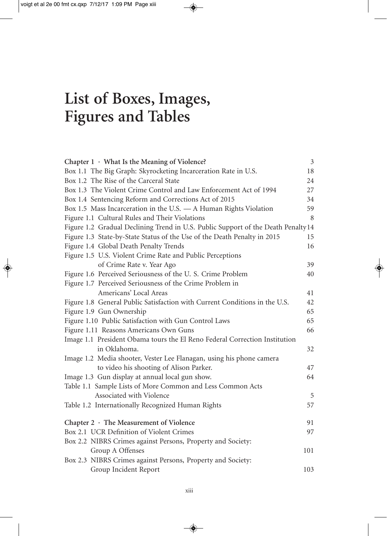## **List of Boxes, Images, Figures and Tables**

| Chapter $1 \cdot$ What Is the Meaning of Violence?                                | $\mathfrak{Z}$ |
|-----------------------------------------------------------------------------------|----------------|
| Box 1.1 The Big Graph: Skyrocketing Incarceration Rate in U.S.                    | 18             |
| Box 1.2 The Rise of the Carceral State                                            | 24             |
| Box 1.3 The Violent Crime Control and Law Enforcement Act of 1994                 | 27             |
| Box 1.4 Sentencing Reform and Corrections Act of 2015                             | 34             |
| Box 1.5 Mass Incarceration in the U.S. - A Human Rights Violation                 | 59             |
| Figure 1.1 Cultural Rules and Their Violations                                    | 8              |
| Figure 1.2 Gradual Declining Trend in U.S. Public Support of the Death Penalty 14 |                |
| Figure 1.3 State-by-State Status of the Use of the Death Penalty in 2015          | 15             |
| Figure 1.4 Global Death Penalty Trends                                            | 16             |
| Figure 1.5 U.S. Violent Crime Rate and Public Perceptions                         |                |
| of Crime Rate v. Year Ago                                                         | 39             |
| Figure 1.6 Perceived Seriousness of the U.S. Crime Problem                        | 40             |
| Figure 1.7 Perceived Seriousness of the Crime Problem in                          |                |
| Americans' Local Areas                                                            | 41             |
| Figure 1.8 General Public Satisfaction with Current Conditions in the U.S.        | 42             |
| Figure 1.9 Gun Ownership                                                          | 65             |
| Figure 1.10 Public Satisfaction with Gun Control Laws                             | 65             |
| Figure 1.11 Reasons Americans Own Guns                                            | 66             |
| Image 1.1 President Obama tours the El Reno Federal Correction Institution        |                |
| in Oklahoma.                                                                      | 32             |
| Image 1.2 Media shooter, Vester Lee Flanagan, using his phone camera              |                |
| to video his shooting of Alison Parker.                                           | 47             |
| Image 1.3 Gun display at annual local gun show.                                   | 64             |
| Table 1.1 Sample Lists of More Common and Less Common Acts                        |                |
| Associated with Violence                                                          | 5              |
| Table 1.2 Internationally Recognized Human Rights                                 | 57             |
|                                                                                   |                |
| Chapter $2 \cdot$ The Measurement of Violence                                     | 91             |
| Box 2.1 UCR Definition of Violent Crimes                                          | 97             |
| Box 2.2 NIBRS Crimes against Persons, Property and Society:                       |                |
| Group A Offenses                                                                  | 101            |
| Box 2.3 NIBRS Crimes against Persons, Property and Society:                       |                |
| Group Incident Report                                                             | 103            |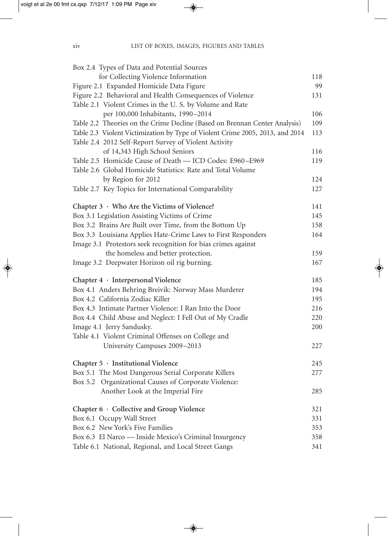| Box 2.4 Types of Data and Potential Sources                                   |     |
|-------------------------------------------------------------------------------|-----|
| for Collecting Violence Information                                           | 118 |
| Figure 2.1 Expanded Homicide Data Figure                                      | 99  |
| Figure 2.2 Behavioral and Health Consequences of Violence                     | 131 |
| Table 2.1 Violent Crimes in the U.S. by Volume and Rate                       |     |
| per 100,000 Inhabitants, 1990-2014                                            | 106 |
| Table 2.2 Theories on the Crime Decline (Based on Brennan Center Analysis)    | 109 |
| Table 2.3 Violent Victimization by Type of Violent Crime 2005, 2013, and 2014 | 113 |
| Table 2.4 2012 Self-Report Survey of Violent Activity                         |     |
| of 14,343 High School Seniors                                                 | 116 |
| Table 2.5 Homicide Cause of Death - ICD Codes: E960-E969                      | 119 |
| Table 2.6 Global Homicide Statistics: Rate and Total Volume                   |     |
| by Region for 2012                                                            | 124 |
| Table 2.7 Key Topics for International Comparability                          | 127 |
| Chapter 3 · Who Are the Victims of Violence?                                  | 141 |
| Box 3.1 Legislation Assisting Victims of Crime                                | 145 |
| Box 3.2 Brains Are Built over Time, from the Bottom Up                        | 158 |
| Box 3.3 Louisiana Applies Hate-Crime Laws to First Responders                 | 164 |
| Image 3.1 Protestors seek recognition for bias crimes against                 |     |
| the homeless and better protection.                                           | 159 |
| Image 3.2 Deepwater Horizon oil rig burning.                                  | 167 |
| Chapter 4 · Interpersonal Violence                                            | 185 |
| Box 4.1 Anders Behring Breivik: Norway Mass Murderer                          | 194 |
| Box 4.2 California Zodiac Killer                                              | 195 |
| Box 4.3 Intimate Partner Violence: I Ran Into the Door                        | 216 |
| Box 4.4 Child Abuse and Neglect: I Fell Out of My Cradle                      | 220 |
| Image 4.1 Jerry Sandusky.                                                     | 200 |
| Table 4.1 Violent Criminal Offenses on College and                            |     |
| University Campuses 2009-2013                                                 | 227 |
| Chapter 5 · Institutional Violence                                            | 245 |
| Box 5.1 The Most Dangerous Serial Corporate Killers                           | 277 |
| Box 5.2 Organizational Causes of Corporate Violence:                          |     |
| Another Look at the Imperial Fire                                             | 285 |
| Chapter 6 · Collective and Group Violence                                     | 321 |
| Box 6.1 Occupy Wall Street                                                    | 331 |
| Box 6.2 New York's Five Families                                              | 353 |
| Box 6.3 El Narco — Inside Mexico's Criminal Insurgency                        | 358 |
| Table 6.1 National, Regional, and Local Street Gangs                          | 341 |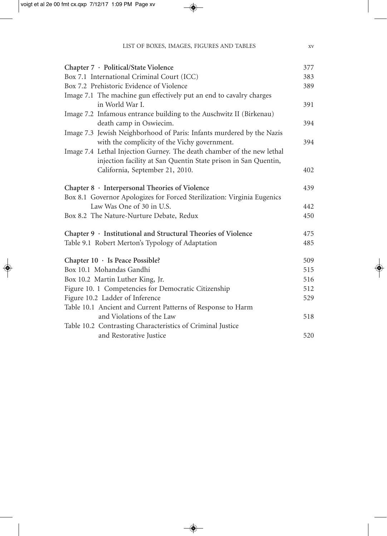| Chapter 7 · Political/State Violence                                    | 377 |
|-------------------------------------------------------------------------|-----|
| Box 7.1 International Criminal Court (ICC)                              | 383 |
| Box 7.2 Prehistoric Evidence of Violence                                | 389 |
| Image 7.1 The machine gun effectively put an end to cavalry charges     |     |
| in World War I.                                                         | 391 |
| Image 7.2 Infamous entrance building to the Auschwitz II (Birkenau)     |     |
| death camp in Oswiecim.                                                 | 394 |
| Image 7.3 Jewish Neighborhood of Paris: Infants murdered by the Nazis   |     |
| with the complicity of the Vichy government.                            | 394 |
| Image 7.4 Lethal Injection Gurney. The death chamber of the new lethal  |     |
| injection facility at San Quentin State prison in San Quentin,          |     |
| California, September 21, 2010.                                         | 402 |
| Chapter 8 · Interpersonal Theories of Violence                          | 439 |
| Box 8.1 Governor Apologizes for Forced Sterilization: Virginia Eugenics |     |
| Law Was One of 30 in U.S.                                               | 442 |
| Box 8.2 The Nature-Nurture Debate, Redux                                | 450 |
| Chapter 9 · Institutional and Structural Theories of Violence           | 475 |
| Table 9.1 Robert Merton's Typology of Adaptation                        | 485 |
| Chapter $10 \cdot$ Is Peace Possible?                                   | 509 |
| Box 10.1 Mohandas Gandhi                                                | 515 |
| Box 10.2 Martin Luther King, Jr.                                        | 516 |
| Figure 10. 1 Competencies for Democratic Citizenship                    | 512 |
| Figure 10.2 Ladder of Inference                                         | 529 |
| Table 10.1 Ancient and Current Patterns of Response to Harm             |     |
| and Violations of the Law                                               | 518 |
| Table 10.2 Contrasting Characteristics of Criminal Justice              |     |
| and Restorative Justice                                                 | 520 |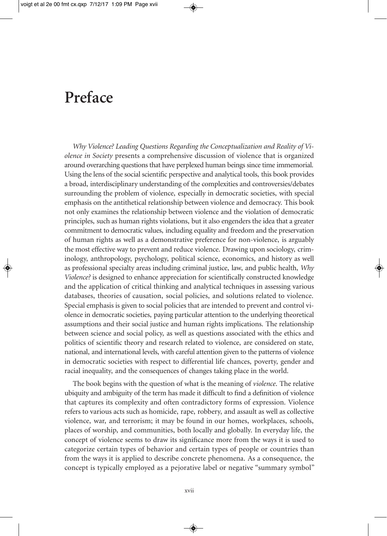### **Preface**

*Why Violence? Leading Questions Regarding the Conceptualization and Reality of Violence in Society* presents a comprehensive discussion of violence that is organized around overarching questions that have perplexed human beings since time immemorial. Using the lens of the social scientific perspective and analytical tools, this book provides a broad, interdisciplinary understanding of the complexities and controversies/debates surrounding the problem of violence, especially in democratic societies, with special emphasis on the antithetical relationship between violence and democracy. This book not only examines the relationship between violence and the violation of democratic principles, such as human rights violations, but it also engenders the idea that a greater commitment to democratic values, including equality and freedom and the preservation of human rights as well as a demonstrative preference for non-violence, is arguably the most effective way to prevent and reduce violence. Drawing upon sociology, criminology, anthropology, psychology, political science, economics, and history as well as professional specialty areas including criminal justice, law, and public health, *Why Violence?* is designed to enhance appreciation for scientifically constructed knowledge and the application of critical thinking and analytical techniques in assessing various databases, theories of causation, social policies, and solutions related to violence. Special emphasis is given to social policies that are intended to prevent and control violence in democratic societies, paying particular attention to the underlying theoretical assumptions and their social justice and human rights implications. The relationship between science and social policy, as well as questions associated with the ethics and politics of scientific theory and research related to violence, are considered on state, national, and international levels, with careful attention given to the patterns of violence in democratic societies with respect to differential life chances, poverty, gender and racial inequality, and the consequences of changes taking place in the world.

The book begins with the question of what is the meaning of *violence*. The relative ubiquity and ambiguity of the term has made it difficult to find a definition of violence that captures its complexity and often contradictory forms of expression. Violence refers to various acts such as homicide, rape, robbery, and assault as well as collective violence, war, and terrorism; it may be found in our homes, workplaces, schools, places of worship, and communities, both locally and globally. In everyday life, the concept of violence seems to draw its significance more from the ways it is used to categorize certain types of behavior and certain types of people or countries than from the ways it is applied to describe concrete phenomena. As a consequence, the concept is typically employed as a pejorative label or negative "summary symbol"